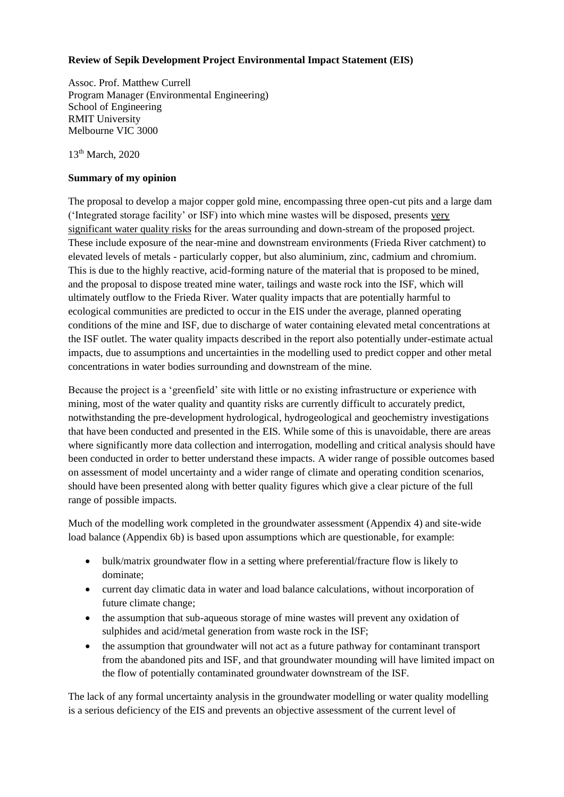## **Review of Sepik Development Project Environmental Impact Statement (EIS)**

Assoc. Prof. Matthew Currell Program Manager (Environmental Engineering) School of Engineering RMIT University Melbourne VIC 3000

 $13<sup>th</sup>$  March, 2020

### **Summary of my opinion**

The proposal to develop a major copper gold mine, encompassing three open-cut pits and a large dam ('Integrated storage facility' or ISF) into which mine wastes will be disposed, presents very significant water quality risks for the areas surrounding and down-stream of the proposed project. These include exposure of the near-mine and downstream environments (Frieda River catchment) to elevated levels of metals - particularly copper, but also aluminium, zinc, cadmium and chromium. This is due to the highly reactive, acid-forming nature of the material that is proposed to be mined, and the proposal to dispose treated mine water, tailings and waste rock into the ISF, which will ultimately outflow to the Frieda River. Water quality impacts that are potentially harmful to ecological communities are predicted to occur in the EIS under the average, planned operating conditions of the mine and ISF, due to discharge of water containing elevated metal concentrations at the ISF outlet. The water quality impacts described in the report also potentially under-estimate actual impacts, due to assumptions and uncertainties in the modelling used to predict copper and other metal concentrations in water bodies surrounding and downstream of the mine.

Because the project is a 'greenfield' site with little or no existing infrastructure or experience with mining, most of the water quality and quantity risks are currently difficult to accurately predict, notwithstanding the pre-development hydrological, hydrogeological and geochemistry investigations that have been conducted and presented in the EIS. While some of this is unavoidable, there are areas where significantly more data collection and interrogation, modelling and critical analysis should have been conducted in order to better understand these impacts. A wider range of possible outcomes based on assessment of model uncertainty and a wider range of climate and operating condition scenarios, should have been presented along with better quality figures which give a clear picture of the full range of possible impacts.

Much of the modelling work completed in the groundwater assessment (Appendix 4) and site-wide load balance (Appendix 6b) is based upon assumptions which are questionable, for example:

- bulk/matrix groundwater flow in a setting where preferential/fracture flow is likely to dominate;
- current day climatic data in water and load balance calculations, without incorporation of future climate change;
- the assumption that sub-aqueous storage of mine wastes will prevent any oxidation of sulphides and acid/metal generation from waste rock in the ISF;
- the assumption that groundwater will not act as a future pathway for contaminant transport from the abandoned pits and ISF, and that groundwater mounding will have limited impact on the flow of potentially contaminated groundwater downstream of the ISF.

The lack of any formal uncertainty analysis in the groundwater modelling or water quality modelling is a serious deficiency of the EIS and prevents an objective assessment of the current level of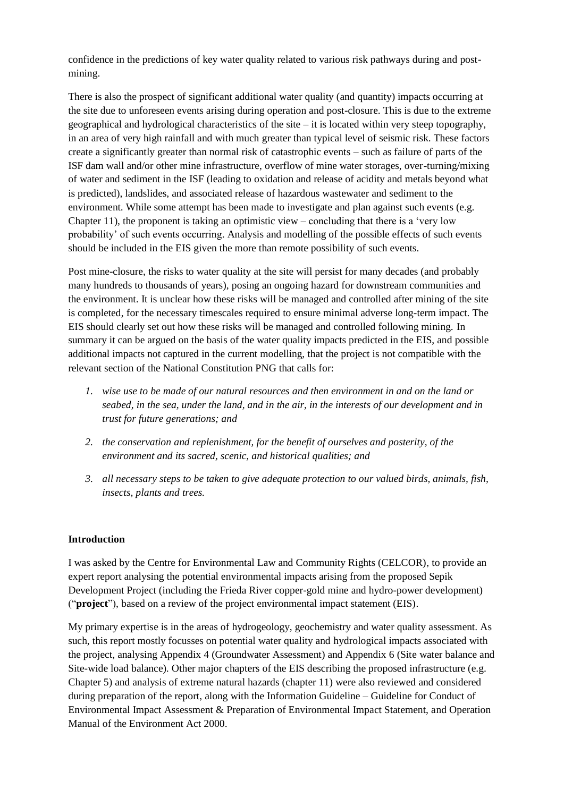confidence in the predictions of key water quality related to various risk pathways during and postmining.

There is also the prospect of significant additional water quality (and quantity) impacts occurring at the site due to unforeseen events arising during operation and post-closure. This is due to the extreme geographical and hydrological characteristics of the site – it is located within very steep topography, in an area of very high rainfall and with much greater than typical level of seismic risk. These factors create a significantly greater than normal risk of catastrophic events – such as failure of parts of the ISF dam wall and/or other mine infrastructure, overflow of mine water storages, over-turning/mixing of water and sediment in the ISF (leading to oxidation and release of acidity and metals beyond what is predicted), landslides, and associated release of hazardous wastewater and sediment to the environment. While some attempt has been made to investigate and plan against such events (e.g. Chapter 11), the proponent is taking an optimistic view – concluding that there is a 'very low probability' of such events occurring. Analysis and modelling of the possible effects of such events should be included in the EIS given the more than remote possibility of such events.

Post mine-closure, the risks to water quality at the site will persist for many decades (and probably many hundreds to thousands of years), posing an ongoing hazard for downstream communities and the environment. It is unclear how these risks will be managed and controlled after mining of the site is completed, for the necessary timescales required to ensure minimal adverse long-term impact. The EIS should clearly set out how these risks will be managed and controlled following mining. In summary it can be argued on the basis of the water quality impacts predicted in the EIS, and possible additional impacts not captured in the current modelling, that the project is not compatible with the relevant section of the National Constitution PNG that calls for:

- *1. wise use to be made of our natural resources and then environment in and on the land or seabed, in the sea, under the land, and in the air, in the interests of our development and in trust for future generations; and*
- *2. the conservation and replenishment, for the benefit of ourselves and posterity, of the environment and its sacred, scenic, and historical qualities; and*
- *3. all necessary steps to be taken to give adequate protection to our valued birds, animals, fish, insects, plants and trees.*

#### **Introduction**

I was asked by the Centre for Environmental Law and Community Rights (CELCOR), to provide an expert report analysing the potential environmental impacts arising from the proposed Sepik Development Project (including the Frieda River copper-gold mine and hydro-power development) ("**project**"), based on a review of the project environmental impact statement (EIS).

My primary expertise is in the areas of hydrogeology, geochemistry and water quality assessment. As such, this report mostly focusses on potential water quality and hydrological impacts associated with the project, analysing Appendix 4 (Groundwater Assessment) and Appendix 6 (Site water balance and Site-wide load balance). Other major chapters of the EIS describing the proposed infrastructure (e.g. Chapter 5) and analysis of extreme natural hazards (chapter 11) were also reviewed and considered during preparation of the report, along with the Information Guideline – Guideline for Conduct of Environmental Impact Assessment & Preparation of Environmental Impact Statement, and Operation Manual of the Environment Act 2000.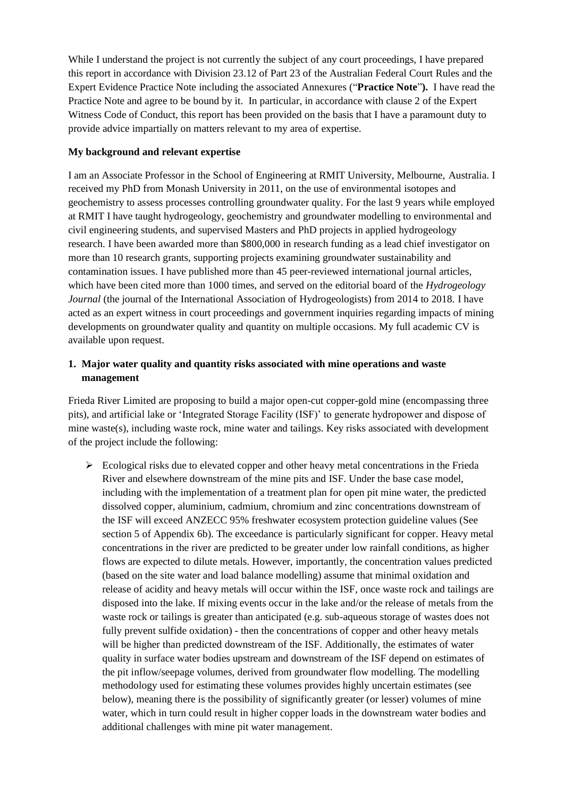While I understand the project is not currently the subject of any court proceedings, I have prepared this report in accordance with Division 23.12 of Part 23 of the Australian Federal Court Rules and the Expert Evidence Practice Note including the associated Annexures ("**Practice Note**"**).** I have read the Practice Note and agree to be bound by it. In particular, in accordance with clause 2 of the Expert Witness Code of Conduct, this report has been provided on the basis that I have a paramount duty to provide advice impartially on matters relevant to my area of expertise.

## **My background and relevant expertise**

I am an Associate Professor in the School of Engineering at RMIT University, Melbourne, Australia. I received my PhD from Monash University in 2011, on the use of environmental isotopes and geochemistry to assess processes controlling groundwater quality. For the last 9 years while employed at RMIT I have taught hydrogeology, geochemistry and groundwater modelling to environmental and civil engineering students, and supervised Masters and PhD projects in applied hydrogeology research. I have been awarded more than \$800,000 in research funding as a lead chief investigator on more than 10 research grants, supporting projects examining groundwater sustainability and contamination issues. I have published more than 45 peer-reviewed international journal articles, which have been cited more than 1000 times, and served on the editorial board of the *Hydrogeology Journal* (the journal of the International Association of Hydrogeologists) from 2014 to 2018. I have acted as an expert witness in court proceedings and government inquiries regarding impacts of mining developments on groundwater quality and quantity on multiple occasions. My full academic CV is available upon request.

# **1. Major water quality and quantity risks associated with mine operations and waste management**

Frieda River Limited are proposing to build a major open-cut copper-gold mine (encompassing three pits), and artificial lake or 'Integrated Storage Facility (ISF)' to generate hydropower and dispose of mine waste(s), including waste rock, mine water and tailings. Key risks associated with development of the project include the following:

 $\triangleright$  Ecological risks due to elevated copper and other heavy metal concentrations in the Frieda River and elsewhere downstream of the mine pits and ISF. Under the base case model, including with the implementation of a treatment plan for open pit mine water, the predicted dissolved copper, aluminium, cadmium, chromium and zinc concentrations downstream of the ISF will exceed ANZECC 95% freshwater ecosystem protection guideline values (See section 5 of Appendix 6b). The exceedance is particularly significant for copper. Heavy metal concentrations in the river are predicted to be greater under low rainfall conditions, as higher flows are expected to dilute metals. However, importantly, the concentration values predicted (based on the site water and load balance modelling) assume that minimal oxidation and release of acidity and heavy metals will occur within the ISF, once waste rock and tailings are disposed into the lake. If mixing events occur in the lake and/or the release of metals from the waste rock or tailings is greater than anticipated (e.g. sub-aqueous storage of wastes does not fully prevent sulfide oxidation) - then the concentrations of copper and other heavy metals will be higher than predicted downstream of the ISF. Additionally, the estimates of water quality in surface water bodies upstream and downstream of the ISF depend on estimates of the pit inflow/seepage volumes, derived from groundwater flow modelling. The modelling methodology used for estimating these volumes provides highly uncertain estimates (see below), meaning there is the possibility of significantly greater (or lesser) volumes of mine water, which in turn could result in higher copper loads in the downstream water bodies and additional challenges with mine pit water management.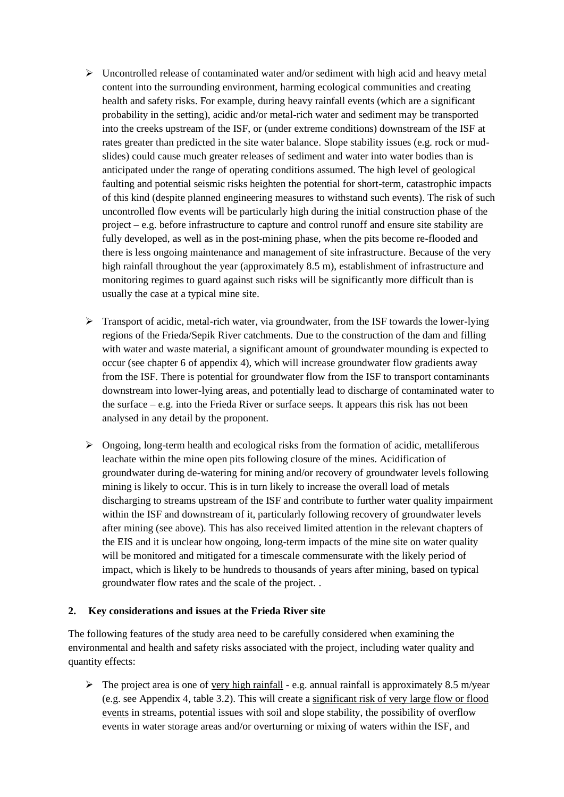- $\triangleright$  Uncontrolled release of contaminated water and/or sediment with high acid and heavy metal content into the surrounding environment, harming ecological communities and creating health and safety risks. For example, during heavy rainfall events (which are a significant probability in the setting), acidic and/or metal-rich water and sediment may be transported into the creeks upstream of the ISF, or (under extreme conditions) downstream of the ISF at rates greater than predicted in the site water balance. Slope stability issues (e.g. rock or mudslides) could cause much greater releases of sediment and water into water bodies than is anticipated under the range of operating conditions assumed. The high level of geological faulting and potential seismic risks heighten the potential for short-term, catastrophic impacts of this kind (despite planned engineering measures to withstand such events). The risk of such uncontrolled flow events will be particularly high during the initial construction phase of the project – e.g. before infrastructure to capture and control runoff and ensure site stability are fully developed, as well as in the post-mining phase, when the pits become re-flooded and there is less ongoing maintenance and management of site infrastructure. Because of the very high rainfall throughout the year (approximately 8.5 m), establishment of infrastructure and monitoring regimes to guard against such risks will be significantly more difficult than is usually the case at a typical mine site.
- $\triangleright$  Transport of acidic, metal-rich water, via groundwater, from the ISF towards the lower-lying regions of the Frieda/Sepik River catchments. Due to the construction of the dam and filling with water and waste material, a significant amount of groundwater mounding is expected to occur (see chapter 6 of appendix 4), which will increase groundwater flow gradients away from the ISF. There is potential for groundwater flow from the ISF to transport contaminants downstream into lower-lying areas, and potentially lead to discharge of contaminated water to the surface  $-e.g.$  into the Frieda River or surface seeps. It appears this risk has not been analysed in any detail by the proponent.
- $\triangleright$  Ongoing, long-term health and ecological risks from the formation of acidic, metalliferous leachate within the mine open pits following closure of the mines. Acidification of groundwater during de-watering for mining and/or recovery of groundwater levels following mining is likely to occur. This is in turn likely to increase the overall load of metals discharging to streams upstream of the ISF and contribute to further water quality impairment within the ISF and downstream of it, particularly following recovery of groundwater levels after mining (see above). This has also received limited attention in the relevant chapters of the EIS and it is unclear how ongoing, long-term impacts of the mine site on water quality will be monitored and mitigated for a timescale commensurate with the likely period of impact, which is likely to be hundreds to thousands of years after mining, based on typical groundwater flow rates and the scale of the project. .

## **2. Key considerations and issues at the Frieda River site**

The following features of the study area need to be carefully considered when examining the environmental and health and safety risks associated with the project, including water quality and quantity effects:

 $\triangleright$  The project area is one of <u>very high rainfall</u> - e.g. annual rainfall is approximately 8.5 m/year (e.g. see Appendix 4, table 3.2). This will create a significant risk of very large flow or flood events in streams, potential issues with soil and slope stability, the possibility of overflow events in water storage areas and/or overturning or mixing of waters within the ISF, and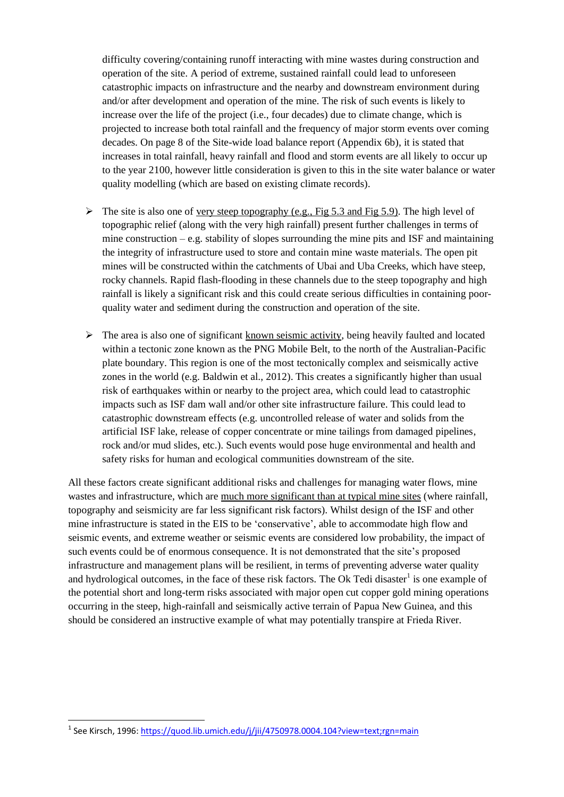difficulty covering/containing runoff interacting with mine wastes during construction and operation of the site. A period of extreme, sustained rainfall could lead to unforeseen catastrophic impacts on infrastructure and the nearby and downstream environment during and/or after development and operation of the mine. The risk of such events is likely to increase over the life of the project (i.e., four decades) due to climate change, which is projected to increase both total rainfall and the frequency of major storm events over coming decades. On page 8 of the Site-wide load balance report (Appendix 6b), it is stated that increases in total rainfall, heavy rainfall and flood and storm events are all likely to occur up to the year 2100, however little consideration is given to this in the site water balance or water quality modelling (which are based on existing climate records).

- $\triangleright$  The site is also one of very steep topography (e.g., Fig 5.3 and Fig 5.9). The high level of topographic relief (along with the very high rainfall) present further challenges in terms of mine construction – e.g. stability of slopes surrounding the mine pits and ISF and maintaining the integrity of infrastructure used to store and contain mine waste materials. The open pit mines will be constructed within the catchments of Ubai and Uba Creeks, which have steep, rocky channels. Rapid flash-flooding in these channels due to the steep topography and high rainfall is likely a significant risk and this could create serious difficulties in containing poorquality water and sediment during the construction and operation of the site.
- $\triangleright$  The area is also one of significant known seismic activity, being heavily faulted and located within a tectonic zone known as the PNG Mobile Belt, to the north of the Australian-Pacific plate boundary. This region is one of the most tectonically complex and seismically active zones in the world (e.g. Baldwin et al., 2012). This creates a significantly higher than usual risk of earthquakes within or nearby to the project area, which could lead to catastrophic impacts such as ISF dam wall and/or other site infrastructure failure. This could lead to catastrophic downstream effects (e.g. uncontrolled release of water and solids from the artificial ISF lake, release of copper concentrate or mine tailings from damaged pipelines, rock and/or mud slides, etc.). Such events would pose huge environmental and health and safety risks for human and ecological communities downstream of the site.

All these factors create significant additional risks and challenges for managing water flows, mine wastes and infrastructure, which are much more significant than at typical mine sites (where rainfall, topography and seismicity are far less significant risk factors). Whilst design of the ISF and other mine infrastructure is stated in the EIS to be 'conservative', able to accommodate high flow and seismic events, and extreme weather or seismic events are considered low probability, the impact of such events could be of enormous consequence. It is not demonstrated that the site's proposed infrastructure and management plans will be resilient, in terms of preventing adverse water quality and hydrological outcomes, in the face of these risk factors. The Ok Tedi disaster<sup>1</sup> is one example of the potential short and long-term risks associated with major open cut copper gold mining operations occurring in the steep, high-rainfall and seismically active terrain of Papua New Guinea, and this should be considered an instructive example of what may potentially transpire at Frieda River.

1

<sup>&</sup>lt;sup>1</sup> See Kirsch, 1996: <u>https://quod.lib.umich.edu/j/jii/4750978.0004.104?view=text;rgn=main</u>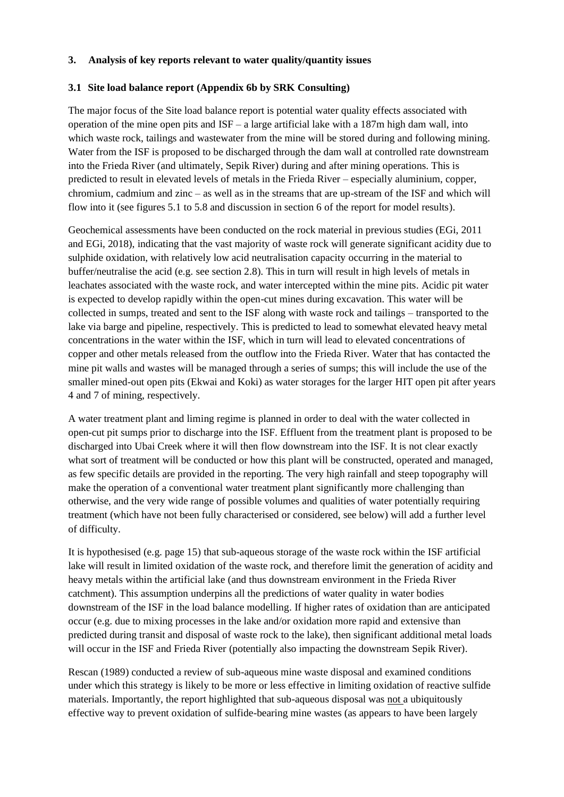### **3. Analysis of key reports relevant to water quality/quantity issues**

### **3.1 Site load balance report (Appendix 6b by SRK Consulting)**

The major focus of the Site load balance report is potential water quality effects associated with operation of the mine open pits and  $ISF - a$  large artificial lake with a 187m high dam wall, into which waste rock, tailings and wastewater from the mine will be stored during and following mining. Water from the ISF is proposed to be discharged through the dam wall at controlled rate downstream into the Frieda River (and ultimately, Sepik River) during and after mining operations. This is predicted to result in elevated levels of metals in the Frieda River – especially aluminium, copper, chromium, cadmium and zinc – as well as in the streams that are up-stream of the ISF and which will flow into it (see figures 5.1 to 5.8 and discussion in section 6 of the report for model results).

Geochemical assessments have been conducted on the rock material in previous studies (EGi, 2011 and EGi, 2018), indicating that the vast majority of waste rock will generate significant acidity due to sulphide oxidation, with relatively low acid neutralisation capacity occurring in the material to buffer/neutralise the acid (e.g. see section 2.8). This in turn will result in high levels of metals in leachates associated with the waste rock, and water intercepted within the mine pits. Acidic pit water is expected to develop rapidly within the open-cut mines during excavation. This water will be collected in sumps, treated and sent to the ISF along with waste rock and tailings – transported to the lake via barge and pipeline, respectively. This is predicted to lead to somewhat elevated heavy metal concentrations in the water within the ISF, which in turn will lead to elevated concentrations of copper and other metals released from the outflow into the Frieda River. Water that has contacted the mine pit walls and wastes will be managed through a series of sumps; this will include the use of the smaller mined-out open pits (Ekwai and Koki) as water storages for the larger HIT open pit after years 4 and 7 of mining, respectively.

A water treatment plant and liming regime is planned in order to deal with the water collected in open-cut pit sumps prior to discharge into the ISF. Effluent from the treatment plant is proposed to be discharged into Ubai Creek where it will then flow downstream into the ISF. It is not clear exactly what sort of treatment will be conducted or how this plant will be constructed, operated and managed, as few specific details are provided in the reporting. The very high rainfall and steep topography will make the operation of a conventional water treatment plant significantly more challenging than otherwise, and the very wide range of possible volumes and qualities of water potentially requiring treatment (which have not been fully characterised or considered, see below) will add a further level of difficulty.

It is hypothesised (e.g. page 15) that sub-aqueous storage of the waste rock within the ISF artificial lake will result in limited oxidation of the waste rock, and therefore limit the generation of acidity and heavy metals within the artificial lake (and thus downstream environment in the Frieda River catchment). This assumption underpins all the predictions of water quality in water bodies downstream of the ISF in the load balance modelling. If higher rates of oxidation than are anticipated occur (e.g. due to mixing processes in the lake and/or oxidation more rapid and extensive than predicted during transit and disposal of waste rock to the lake), then significant additional metal loads will occur in the ISF and Frieda River (potentially also impacting the downstream Sepik River).

Rescan (1989) conducted a review of sub-aqueous mine waste disposal and examined conditions under which this strategy is likely to be more or less effective in limiting oxidation of reactive sulfide materials. Importantly, the report highlighted that sub-aqueous disposal was not a ubiquitously effective way to prevent oxidation of sulfide-bearing mine wastes (as appears to have been largely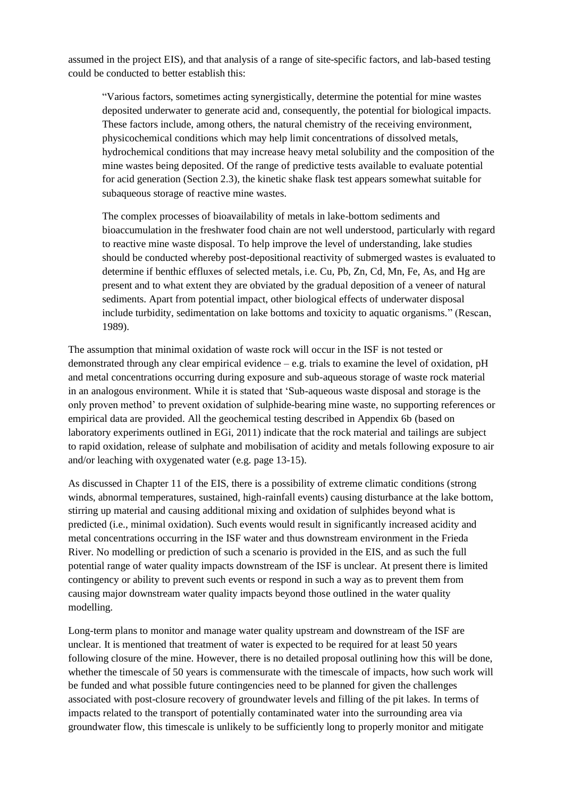assumed in the project EIS), and that analysis of a range of site-specific factors, and lab-based testing could be conducted to better establish this:

"Various factors, sometimes acting synergistically, determine the potential for mine wastes deposited underwater to generate acid and, consequently, the potential for biological impacts. These factors include, among others, the natural chemistry of the receiving environment, physicochemical conditions which may help limit concentrations of dissolved metals, hydrochemical conditions that may increase heavy metal solubility and the composition of the mine wastes being deposited. Of the range of predictive tests available to evaluate potential for acid generation (Section 2.3), the kinetic shake flask test appears somewhat suitable for subaqueous storage of reactive mine wastes.

The complex processes of bioavailability of metals in lake-bottom sediments and bioaccumulation in the freshwater food chain are not well understood, particularly with regard to reactive mine waste disposal. To help improve the level of understanding, lake studies should be conducted whereby post-depositional reactivity of submerged wastes is evaluated to determine if benthic effluxes of selected metals, i.e. Cu, Pb, Zn, Cd, Mn, Fe, As, and Hg are present and to what extent they are obviated by the gradual deposition of a veneer of natural sediments. Apart from potential impact, other biological effects of underwater disposal include turbidity, sedimentation on lake bottoms and toxicity to aquatic organisms." (Rescan, 1989).

The assumption that minimal oxidation of waste rock will occur in the ISF is not tested or demonstrated through any clear empirical evidence  $-e.g.$  trials to examine the level of oxidation,  $pH$ and metal concentrations occurring during exposure and sub-aqueous storage of waste rock material in an analogous environment. While it is stated that 'Sub-aqueous waste disposal and storage is the only proven method' to prevent oxidation of sulphide-bearing mine waste, no supporting references or empirical data are provided. All the geochemical testing described in Appendix 6b (based on laboratory experiments outlined in EGi, 2011) indicate that the rock material and tailings are subject to rapid oxidation, release of sulphate and mobilisation of acidity and metals following exposure to air and/or leaching with oxygenated water (e.g. page 13-15).

As discussed in Chapter 11 of the EIS, there is a possibility of extreme climatic conditions (strong winds, abnormal temperatures, sustained, high-rainfall events) causing disturbance at the lake bottom, stirring up material and causing additional mixing and oxidation of sulphides beyond what is predicted (i.e., minimal oxidation). Such events would result in significantly increased acidity and metal concentrations occurring in the ISF water and thus downstream environment in the Frieda River. No modelling or prediction of such a scenario is provided in the EIS, and as such the full potential range of water quality impacts downstream of the ISF is unclear. At present there is limited contingency or ability to prevent such events or respond in such a way as to prevent them from causing major downstream water quality impacts beyond those outlined in the water quality modelling.

Long-term plans to monitor and manage water quality upstream and downstream of the ISF are unclear. It is mentioned that treatment of water is expected to be required for at least 50 years following closure of the mine. However, there is no detailed proposal outlining how this will be done, whether the timescale of 50 years is commensurate with the timescale of impacts, how such work will be funded and what possible future contingencies need to be planned for given the challenges associated with post-closure recovery of groundwater levels and filling of the pit lakes. In terms of impacts related to the transport of potentially contaminated water into the surrounding area via groundwater flow, this timescale is unlikely to be sufficiently long to properly monitor and mitigate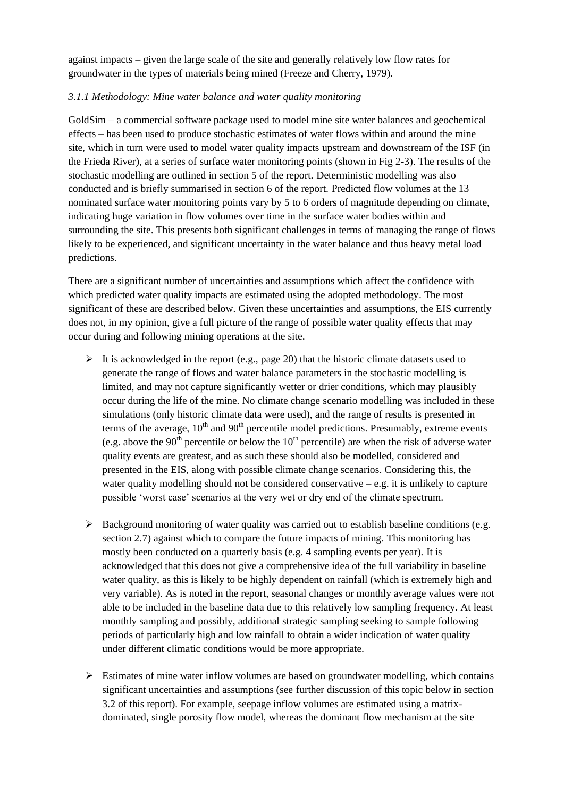against impacts – given the large scale of the site and generally relatively low flow rates for groundwater in the types of materials being mined (Freeze and Cherry, 1979).

### *3.1.1 Methodology: Mine water balance and water quality monitoring*

GoldSim – a commercial software package used to model mine site water balances and geochemical effects – has been used to produce stochastic estimates of water flows within and around the mine site, which in turn were used to model water quality impacts upstream and downstream of the ISF (in the Frieda River), at a series of surface water monitoring points (shown in Fig 2-3). The results of the stochastic modelling are outlined in section 5 of the report. Deterministic modelling was also conducted and is briefly summarised in section 6 of the report. Predicted flow volumes at the 13 nominated surface water monitoring points vary by 5 to 6 orders of magnitude depending on climate, indicating huge variation in flow volumes over time in the surface water bodies within and surrounding the site. This presents both significant challenges in terms of managing the range of flows likely to be experienced, and significant uncertainty in the water balance and thus heavy metal load predictions.

There are a significant number of uncertainties and assumptions which affect the confidence with which predicted water quality impacts are estimated using the adopted methodology. The most significant of these are described below. Given these uncertainties and assumptions, the EIS currently does not, in my opinion, give a full picture of the range of possible water quality effects that may occur during and following mining operations at the site.

- $\triangleright$  It is acknowledged in the report (e.g., page 20) that the historic climate datasets used to generate the range of flows and water balance parameters in the stochastic modelling is limited, and may not capture significantly wetter or drier conditions, which may plausibly occur during the life of the mine. No climate change scenario modelling was included in these simulations (only historic climate data were used), and the range of results is presented in terms of the average,  $10<sup>th</sup>$  and  $90<sup>th</sup>$  percentile model predictions. Presumably, extreme events (e.g. above the 90<sup>th</sup> percentile or below the 10<sup>th</sup> percentile) are when the risk of adverse water quality events are greatest, and as such these should also be modelled, considered and presented in the EIS, along with possible climate change scenarios. Considering this, the water quality modelling should not be considered conservative  $-e.g.$  it is unlikely to capture possible 'worst case' scenarios at the very wet or dry end of the climate spectrum.
- $\triangleright$  Background monitoring of water quality was carried out to establish baseline conditions (e.g. section 2.7) against which to compare the future impacts of mining. This monitoring has mostly been conducted on a quarterly basis (e.g. 4 sampling events per year). It is acknowledged that this does not give a comprehensive idea of the full variability in baseline water quality, as this is likely to be highly dependent on rainfall (which is extremely high and very variable). As is noted in the report, seasonal changes or monthly average values were not able to be included in the baseline data due to this relatively low sampling frequency. At least monthly sampling and possibly, additional strategic sampling seeking to sample following periods of particularly high and low rainfall to obtain a wider indication of water quality under different climatic conditions would be more appropriate.
- $\triangleright$  Estimates of mine water inflow volumes are based on groundwater modelling, which contains significant uncertainties and assumptions (see further discussion of this topic below in section 3.2 of this report). For example, seepage inflow volumes are estimated using a matrixdominated, single porosity flow model, whereas the dominant flow mechanism at the site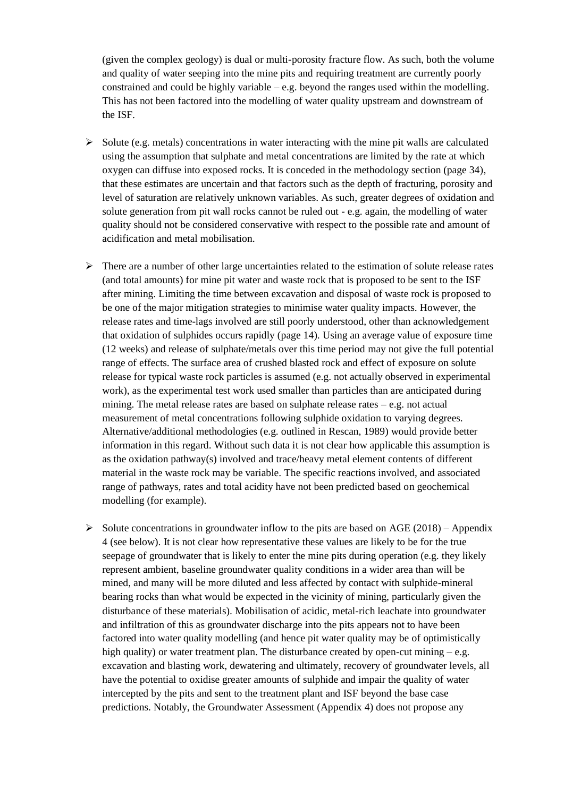(given the complex geology) is dual or multi-porosity fracture flow. As such, both the volume and quality of water seeping into the mine pits and requiring treatment are currently poorly constrained and could be highly variable  $-e.g.$  beyond the ranges used within the modelling. This has not been factored into the modelling of water quality upstream and downstream of the ISF.

- $\triangleright$  Solute (e.g. metals) concentrations in water interacting with the mine pit walls are calculated using the assumption that sulphate and metal concentrations are limited by the rate at which oxygen can diffuse into exposed rocks. It is conceded in the methodology section (page 34), that these estimates are uncertain and that factors such as the depth of fracturing, porosity and level of saturation are relatively unknown variables. As such, greater degrees of oxidation and solute generation from pit wall rocks cannot be ruled out - e.g. again, the modelling of water quality should not be considered conservative with respect to the possible rate and amount of acidification and metal mobilisation.
- $\triangleright$  There are a number of other large uncertainties related to the estimation of solute release rates (and total amounts) for mine pit water and waste rock that is proposed to be sent to the ISF after mining. Limiting the time between excavation and disposal of waste rock is proposed to be one of the major mitigation strategies to minimise water quality impacts. However, the release rates and time-lags involved are still poorly understood, other than acknowledgement that oxidation of sulphides occurs rapidly (page 14). Using an average value of exposure time (12 weeks) and release of sulphate/metals over this time period may not give the full potential range of effects. The surface area of crushed blasted rock and effect of exposure on solute release for typical waste rock particles is assumed (e.g. not actually observed in experimental work), as the experimental test work used smaller than particles than are anticipated during mining. The metal release rates are based on sulphate release rates – e.g. not actual measurement of metal concentrations following sulphide oxidation to varying degrees. Alternative/additional methodologies (e.g. outlined in Rescan, 1989) would provide better information in this regard. Without such data it is not clear how applicable this assumption is as the oxidation pathway(s) involved and trace/heavy metal element contents of different material in the waste rock may be variable. The specific reactions involved, and associated range of pathways, rates and total acidity have not been predicted based on geochemical modelling (for example).
- $\triangleright$  Solute concentrations in groundwater inflow to the pits are based on AGE (2018) Appendix 4 (see below). It is not clear how representative these values are likely to be for the true seepage of groundwater that is likely to enter the mine pits during operation (e.g. they likely represent ambient, baseline groundwater quality conditions in a wider area than will be mined, and many will be more diluted and less affected by contact with sulphide-mineral bearing rocks than what would be expected in the vicinity of mining, particularly given the disturbance of these materials). Mobilisation of acidic, metal-rich leachate into groundwater and infiltration of this as groundwater discharge into the pits appears not to have been factored into water quality modelling (and hence pit water quality may be of optimistically high quality) or water treatment plan. The disturbance created by open-cut mining – e.g. excavation and blasting work, dewatering and ultimately, recovery of groundwater levels, all have the potential to oxidise greater amounts of sulphide and impair the quality of water intercepted by the pits and sent to the treatment plant and ISF beyond the base case predictions. Notably, the Groundwater Assessment (Appendix 4) does not propose any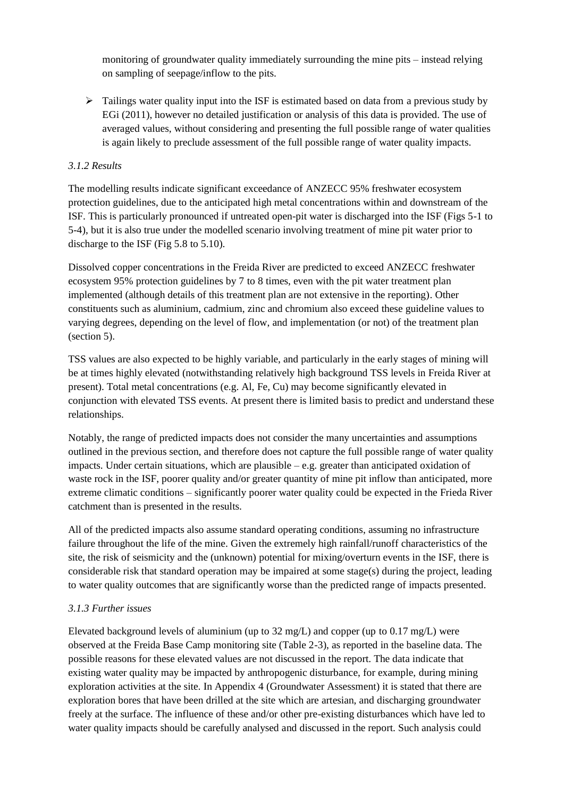monitoring of groundwater quality immediately surrounding the mine pits – instead relying on sampling of seepage/inflow to the pits.

 $\triangleright$  Tailings water quality input into the ISF is estimated based on data from a previous study by EGi (2011), however no detailed justification or analysis of this data is provided. The use of averaged values, without considering and presenting the full possible range of water qualities is again likely to preclude assessment of the full possible range of water quality impacts.

### *3.1.2 Results*

The modelling results indicate significant exceedance of ANZECC 95% freshwater ecosystem protection guidelines, due to the anticipated high metal concentrations within and downstream of the ISF. This is particularly pronounced if untreated open-pit water is discharged into the ISF (Figs 5-1 to 5-4), but it is also true under the modelled scenario involving treatment of mine pit water prior to discharge to the ISF (Fig 5.8 to 5.10).

Dissolved copper concentrations in the Freida River are predicted to exceed ANZECC freshwater ecosystem 95% protection guidelines by 7 to 8 times, even with the pit water treatment plan implemented (although details of this treatment plan are not extensive in the reporting). Other constituents such as aluminium, cadmium, zinc and chromium also exceed these guideline values to varying degrees, depending on the level of flow, and implementation (or not) of the treatment plan (section 5).

TSS values are also expected to be highly variable, and particularly in the early stages of mining will be at times highly elevated (notwithstanding relatively high background TSS levels in Freida River at present). Total metal concentrations (e.g. Al, Fe, Cu) may become significantly elevated in conjunction with elevated TSS events. At present there is limited basis to predict and understand these relationships.

Notably, the range of predicted impacts does not consider the many uncertainties and assumptions outlined in the previous section, and therefore does not capture the full possible range of water quality impacts. Under certain situations, which are plausible  $-$  e.g. greater than anticipated oxidation of waste rock in the ISF, poorer quality and/or greater quantity of mine pit inflow than anticipated, more extreme climatic conditions – significantly poorer water quality could be expected in the Frieda River catchment than is presented in the results.

All of the predicted impacts also assume standard operating conditions, assuming no infrastructure failure throughout the life of the mine. Given the extremely high rainfall/runoff characteristics of the site, the risk of seismicity and the (unknown) potential for mixing/overturn events in the ISF, there is considerable risk that standard operation may be impaired at some stage(s) during the project, leading to water quality outcomes that are significantly worse than the predicted range of impacts presented.

#### *3.1.3 Further issues*

Elevated background levels of aluminium (up to  $32 \text{ mg/L}$ ) and copper (up to  $0.17 \text{ mg/L}$ ) were observed at the Freida Base Camp monitoring site (Table 2-3), as reported in the baseline data. The possible reasons for these elevated values are not discussed in the report. The data indicate that existing water quality may be impacted by anthropogenic disturbance, for example, during mining exploration activities at the site. In Appendix 4 (Groundwater Assessment) it is stated that there are exploration bores that have been drilled at the site which are artesian, and discharging groundwater freely at the surface. The influence of these and/or other pre-existing disturbances which have led to water quality impacts should be carefully analysed and discussed in the report. Such analysis could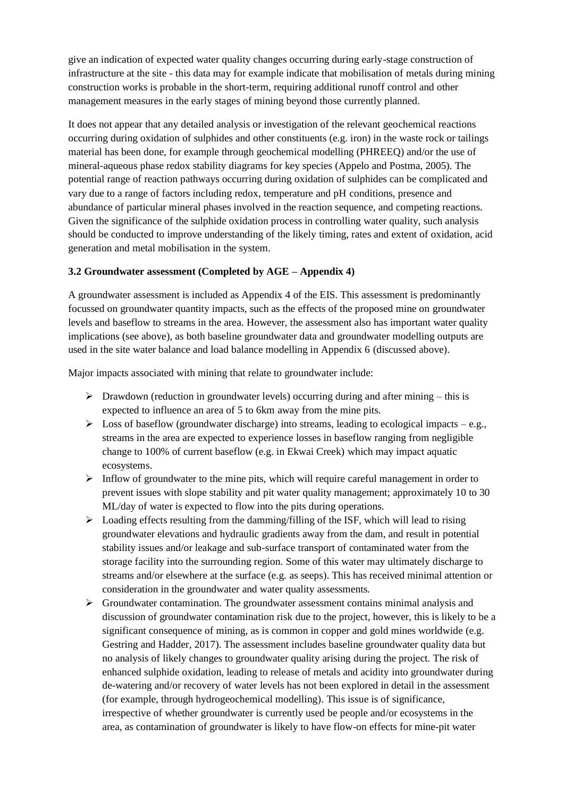give an indication of expected water quality changes occurring during early-stage construction of infrastructure at the site - this data may for example indicate that mobilisation of metals during mining construction works is probable in the short-term, requiring additional runoff control and other management measures in the early stages of mining beyond those currently planned.

It does not appear that any detailed analysis or investigation of the relevant geochemical reactions occurring during oxidation of sulphides and other constituents (e.g. iron) in the waste rock or tailings material has been done, for example through geochemical modelling (PHREEQ) and/or the use of mineral-aqueous phase redox stability diagrams for key species (Appelo and Postma, 2005). The potential range of reaction pathways occurring during oxidation of sulphides can be complicated and vary due to a range of factors including redox, temperature and pH conditions, presence and abundance of particular mineral phases involved in the reaction sequence, and competing reactions. Given the significance of the sulphide oxidation process in controlling water quality, such analysis should be conducted to improve understanding of the likely timing, rates and extent of oxidation, acid generation and metal mobilisation in the system.

### **3.2 Groundwater assessment (Completed by AGE – Appendix 4)**

A groundwater assessment is included as Appendix 4 of the EIS. This assessment is predominantly focussed on groundwater quantity impacts, such as the effects of the proposed mine on groundwater levels and baseflow to streams in the area. However, the assessment also has important water quality implications (see above), as both baseline groundwater data and groundwater modelling outputs are used in the site water balance and load balance modelling in Appendix 6 (discussed above).

Major impacts associated with mining that relate to groundwater include:

- $\triangleright$  Drawdown (reduction in groundwater levels) occurring during and after mining this is expected to influence an area of 5 to 6km away from the mine pits.
- $\triangleright$  Loss of baseflow (groundwater discharge) into streams, leading to ecological impacts e.g., streams in the area are expected to experience losses in baseflow ranging from negligible change to 100% of current baseflow (e.g. in Ekwai Creek) which may impact aquatic ecosystems.
- $\triangleright$  Inflow of groundwater to the mine pits, which will require careful management in order to prevent issues with slope stability and pit water quality management; approximately 10 to 30 ML/day of water is expected to flow into the pits during operations.
- $\triangleright$  Loading effects resulting from the damming/filling of the ISF, which will lead to rising groundwater elevations and hydraulic gradients away from the dam, and result in potential stability issues and/or leakage and sub-surface transport of contaminated water from the storage facility into the surrounding region. Some of this water may ultimately discharge to streams and/or elsewhere at the surface (e.g. as seeps). This has received minimal attention or consideration in the groundwater and water quality assessments.
- $\triangleright$  Groundwater contamination. The groundwater assessment contains minimal analysis and discussion of groundwater contamination risk due to the project, however, this is likely to be a significant consequence of mining, as is common in copper and gold mines worldwide (e.g. Gestring and Hadder, 2017). The assessment includes baseline groundwater quality data but no analysis of likely changes to groundwater quality arising during the project. The risk of enhanced sulphide oxidation, leading to release of metals and acidity into groundwater during de-watering and/or recovery of water levels has not been explored in detail in the assessment (for example, through hydrogeochemical modelling). This issue is of significance, irrespective of whether groundwater is currently used be people and/or ecosystems in the area, as contamination of groundwater is likely to have flow-on effects for mine-pit water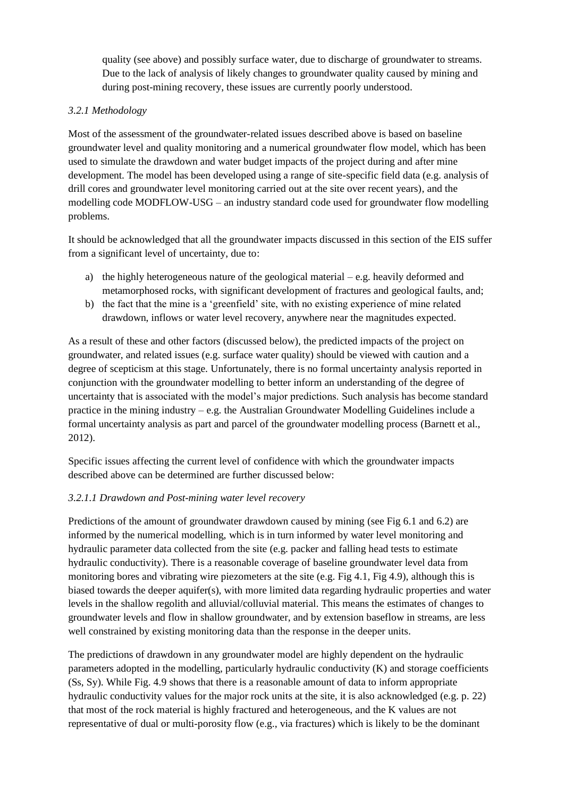quality (see above) and possibly surface water, due to discharge of groundwater to streams. Due to the lack of analysis of likely changes to groundwater quality caused by mining and during post-mining recovery, these issues are currently poorly understood.

# *3.2.1 Methodology*

Most of the assessment of the groundwater-related issues described above is based on baseline groundwater level and quality monitoring and a numerical groundwater flow model, which has been used to simulate the drawdown and water budget impacts of the project during and after mine development. The model has been developed using a range of site-specific field data (e.g. analysis of drill cores and groundwater level monitoring carried out at the site over recent years), and the modelling code MODFLOW-USG – an industry standard code used for groundwater flow modelling problems.

It should be acknowledged that all the groundwater impacts discussed in this section of the EIS suffer from a significant level of uncertainty, due to:

- a) the highly heterogeneous nature of the geological material  $-e.g.$  heavily deformed and metamorphosed rocks, with significant development of fractures and geological faults, and;
- b) the fact that the mine is a 'greenfield' site, with no existing experience of mine related drawdown, inflows or water level recovery, anywhere near the magnitudes expected.

As a result of these and other factors (discussed below), the predicted impacts of the project on groundwater, and related issues (e.g. surface water quality) should be viewed with caution and a degree of scepticism at this stage. Unfortunately, there is no formal uncertainty analysis reported in conjunction with the groundwater modelling to better inform an understanding of the degree of uncertainty that is associated with the model's major predictions. Such analysis has become standard practice in the mining industry – e.g. the Australian Groundwater Modelling Guidelines include a formal uncertainty analysis as part and parcel of the groundwater modelling process (Barnett et al., 2012).

Specific issues affecting the current level of confidence with which the groundwater impacts described above can be determined are further discussed below:

## *3.2.1.1 Drawdown and Post-mining water level recovery*

Predictions of the amount of groundwater drawdown caused by mining (see Fig 6.1 and 6.2) are informed by the numerical modelling, which is in turn informed by water level monitoring and hydraulic parameter data collected from the site (e.g. packer and falling head tests to estimate hydraulic conductivity). There is a reasonable coverage of baseline groundwater level data from monitoring bores and vibrating wire piezometers at the site (e.g. Fig 4.1, Fig 4.9), although this is biased towards the deeper aquifer(s), with more limited data regarding hydraulic properties and water levels in the shallow regolith and alluvial/colluvial material. This means the estimates of changes to groundwater levels and flow in shallow groundwater, and by extension baseflow in streams, are less well constrained by existing monitoring data than the response in the deeper units.

The predictions of drawdown in any groundwater model are highly dependent on the hydraulic parameters adopted in the modelling, particularly hydraulic conductivity (K) and storage coefficients (Ss, Sy). While Fig. 4.9 shows that there is a reasonable amount of data to inform appropriate hydraulic conductivity values for the major rock units at the site, it is also acknowledged (e.g. p. 22) that most of the rock material is highly fractured and heterogeneous, and the K values are not representative of dual or multi-porosity flow (e.g., via fractures) which is likely to be the dominant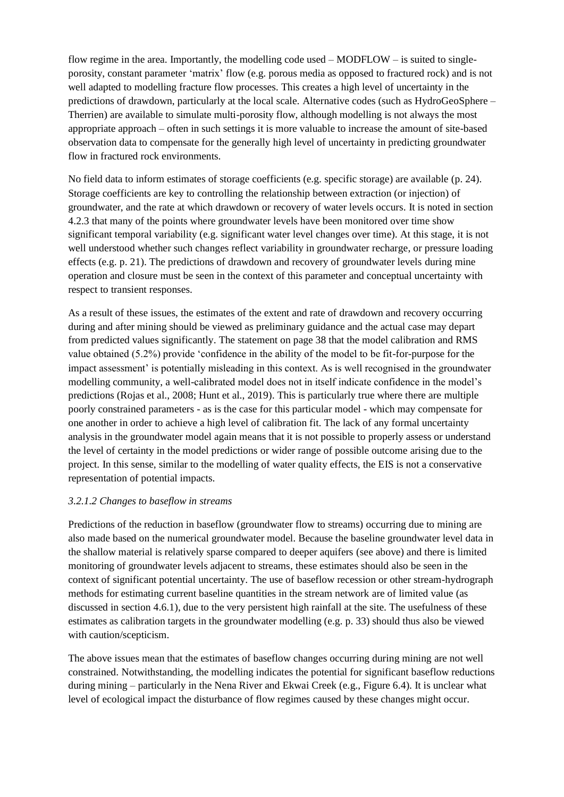flow regime in the area. Importantly, the modelling code used  $-$  MODFLOW  $-$  is suited to singleporosity, constant parameter 'matrix' flow (e.g. porous media as opposed to fractured rock) and is not well adapted to modelling fracture flow processes. This creates a high level of uncertainty in the predictions of drawdown, particularly at the local scale. Alternative codes (such as HydroGeoSphere – Therrien) are available to simulate multi-porosity flow, although modelling is not always the most appropriate approach – often in such settings it is more valuable to increase the amount of site-based observation data to compensate for the generally high level of uncertainty in predicting groundwater flow in fractured rock environments.

No field data to inform estimates of storage coefficients (e.g. specific storage) are available (p. 24). Storage coefficients are key to controlling the relationship between extraction (or injection) of groundwater, and the rate at which drawdown or recovery of water levels occurs. It is noted in section 4.2.3 that many of the points where groundwater levels have been monitored over time show significant temporal variability (e.g. significant water level changes over time). At this stage, it is not well understood whether such changes reflect variability in groundwater recharge, or pressure loading effects (e.g. p. 21). The predictions of drawdown and recovery of groundwater levels during mine operation and closure must be seen in the context of this parameter and conceptual uncertainty with respect to transient responses.

As a result of these issues, the estimates of the extent and rate of drawdown and recovery occurring during and after mining should be viewed as preliminary guidance and the actual case may depart from predicted values significantly. The statement on page 38 that the model calibration and RMS value obtained (5.2%) provide 'confidence in the ability of the model to be fit-for-purpose for the impact assessment' is potentially misleading in this context. As is well recognised in the groundwater modelling community, a well-calibrated model does not in itself indicate confidence in the model's predictions (Rojas et al., 2008; Hunt et al., 2019). This is particularly true where there are multiple poorly constrained parameters - as is the case for this particular model - which may compensate for one another in order to achieve a high level of calibration fit. The lack of any formal uncertainty analysis in the groundwater model again means that it is not possible to properly assess or understand the level of certainty in the model predictions or wider range of possible outcome arising due to the project. In this sense, similar to the modelling of water quality effects, the EIS is not a conservative representation of potential impacts.

#### *3.2.1.2 Changes to baseflow in streams*

Predictions of the reduction in baseflow (groundwater flow to streams) occurring due to mining are also made based on the numerical groundwater model. Because the baseline groundwater level data in the shallow material is relatively sparse compared to deeper aquifers (see above) and there is limited monitoring of groundwater levels adjacent to streams, these estimates should also be seen in the context of significant potential uncertainty. The use of baseflow recession or other stream-hydrograph methods for estimating current baseline quantities in the stream network are of limited value (as discussed in section 4.6.1), due to the very persistent high rainfall at the site. The usefulness of these estimates as calibration targets in the groundwater modelling (e.g. p. 33) should thus also be viewed with caution/scepticism.

The above issues mean that the estimates of baseflow changes occurring during mining are not well constrained. Notwithstanding, the modelling indicates the potential for significant baseflow reductions during mining – particularly in the Nena River and Ekwai Creek (e.g., Figure 6.4). It is unclear what level of ecological impact the disturbance of flow regimes caused by these changes might occur.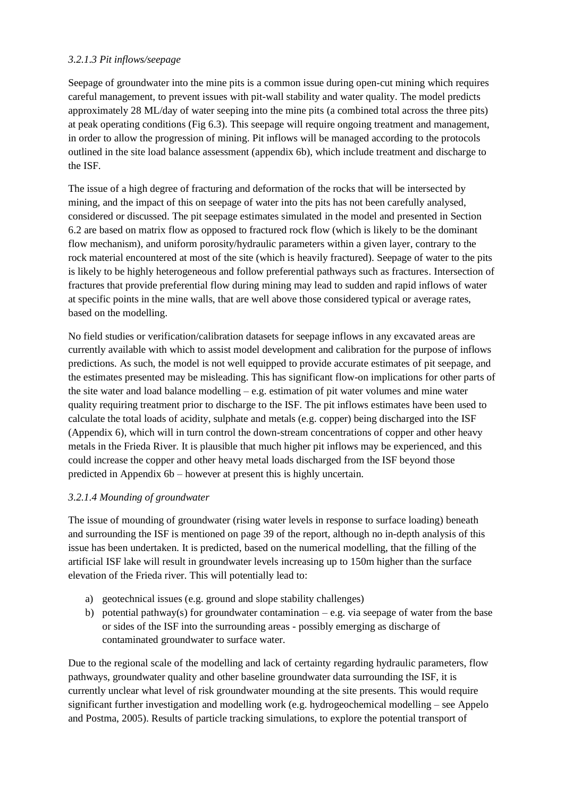# *3.2.1.3 Pit inflows/seepage*

Seepage of groundwater into the mine pits is a common issue during open-cut mining which requires careful management, to prevent issues with pit-wall stability and water quality. The model predicts approximately 28 ML/day of water seeping into the mine pits (a combined total across the three pits) at peak operating conditions (Fig 6.3). This seepage will require ongoing treatment and management, in order to allow the progression of mining. Pit inflows will be managed according to the protocols outlined in the site load balance assessment (appendix 6b), which include treatment and discharge to the ISF.

The issue of a high degree of fracturing and deformation of the rocks that will be intersected by mining, and the impact of this on seepage of water into the pits has not been carefully analysed, considered or discussed. The pit seepage estimates simulated in the model and presented in Section 6.2 are based on matrix flow as opposed to fractured rock flow (which is likely to be the dominant flow mechanism), and uniform porosity/hydraulic parameters within a given layer, contrary to the rock material encountered at most of the site (which is heavily fractured). Seepage of water to the pits is likely to be highly heterogeneous and follow preferential pathways such as fractures. Intersection of fractures that provide preferential flow during mining may lead to sudden and rapid inflows of water at specific points in the mine walls, that are well above those considered typical or average rates, based on the modelling.

No field studies or verification/calibration datasets for seepage inflows in any excavated areas are currently available with which to assist model development and calibration for the purpose of inflows predictions. As such, the model is not well equipped to provide accurate estimates of pit seepage, and the estimates presented may be misleading. This has significant flow-on implications for other parts of the site water and load balance modelling  $-e.g.$  estimation of pit water volumes and mine water quality requiring treatment prior to discharge to the ISF. The pit inflows estimates have been used to calculate the total loads of acidity, sulphate and metals (e.g. copper) being discharged into the ISF (Appendix 6), which will in turn control the down-stream concentrations of copper and other heavy metals in the Frieda River. It is plausible that much higher pit inflows may be experienced, and this could increase the copper and other heavy metal loads discharged from the ISF beyond those predicted in Appendix 6b – however at present this is highly uncertain.

## *3.2.1.4 Mounding of groundwater*

The issue of mounding of groundwater (rising water levels in response to surface loading) beneath and surrounding the ISF is mentioned on page 39 of the report, although no in-depth analysis of this issue has been undertaken. It is predicted, based on the numerical modelling, that the filling of the artificial ISF lake will result in groundwater levels increasing up to 150m higher than the surface elevation of the Frieda river. This will potentially lead to:

- a) geotechnical issues (e.g. ground and slope stability challenges)
- b) potential pathway(s) for groundwater contamination  $-e.g.$  via seepage of water from the base or sides of the ISF into the surrounding areas - possibly emerging as discharge of contaminated groundwater to surface water.

Due to the regional scale of the modelling and lack of certainty regarding hydraulic parameters, flow pathways, groundwater quality and other baseline groundwater data surrounding the ISF, it is currently unclear what level of risk groundwater mounding at the site presents. This would require significant further investigation and modelling work (e.g. hydrogeochemical modelling – see Appelo and Postma, 2005). Results of particle tracking simulations, to explore the potential transport of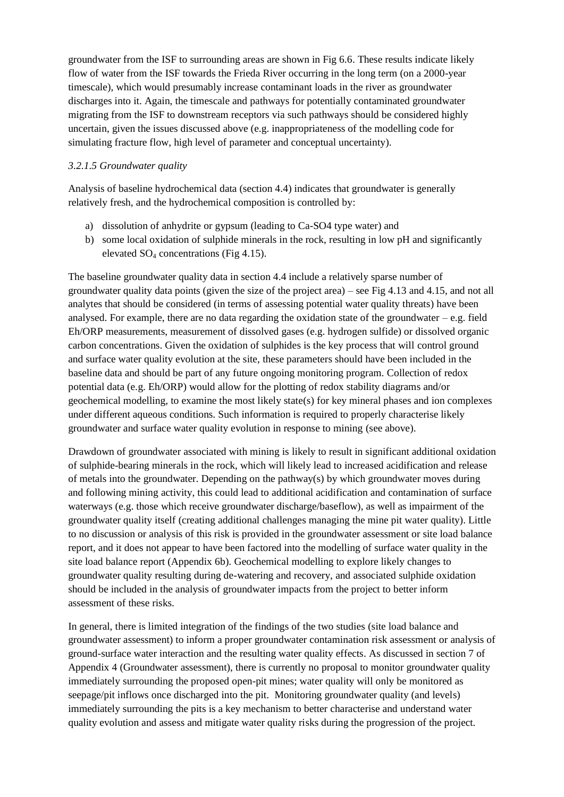groundwater from the ISF to surrounding areas are shown in Fig 6.6. These results indicate likely flow of water from the ISF towards the Frieda River occurring in the long term (on a 2000-year timescale), which would presumably increase contaminant loads in the river as groundwater discharges into it. Again, the timescale and pathways for potentially contaminated groundwater migrating from the ISF to downstream receptors via such pathways should be considered highly uncertain, given the issues discussed above (e.g. inappropriateness of the modelling code for simulating fracture flow, high level of parameter and conceptual uncertainty).

### *3.2.1.5 Groundwater quality*

Analysis of baseline hydrochemical data (section 4.4) indicates that groundwater is generally relatively fresh, and the hydrochemical composition is controlled by:

- a) dissolution of anhydrite or gypsum (leading to Ca-SO4 type water) and
- b) some local oxidation of sulphide minerals in the rock, resulting in low pH and significantly elevated SO<sup>4</sup> concentrations (Fig 4.15).

The baseline groundwater quality data in section 4.4 include a relatively sparse number of groundwater quality data points (given the size of the project area) – see Fig 4.13 and 4.15, and not all analytes that should be considered (in terms of assessing potential water quality threats) have been analysed. For example, there are no data regarding the oxidation state of the groundwater  $-e.g.$  field Eh/ORP measurements, measurement of dissolved gases (e.g. hydrogen sulfide) or dissolved organic carbon concentrations. Given the oxidation of sulphides is the key process that will control ground and surface water quality evolution at the site, these parameters should have been included in the baseline data and should be part of any future ongoing monitoring program. Collection of redox potential data (e.g. Eh/ORP) would allow for the plotting of redox stability diagrams and/or geochemical modelling, to examine the most likely state(s) for key mineral phases and ion complexes under different aqueous conditions. Such information is required to properly characterise likely groundwater and surface water quality evolution in response to mining (see above).

Drawdown of groundwater associated with mining is likely to result in significant additional oxidation of sulphide-bearing minerals in the rock, which will likely lead to increased acidification and release of metals into the groundwater. Depending on the pathway(s) by which groundwater moves during and following mining activity, this could lead to additional acidification and contamination of surface waterways (e.g. those which receive groundwater discharge/baseflow), as well as impairment of the groundwater quality itself (creating additional challenges managing the mine pit water quality). Little to no discussion or analysis of this risk is provided in the groundwater assessment or site load balance report, and it does not appear to have been factored into the modelling of surface water quality in the site load balance report (Appendix 6b). Geochemical modelling to explore likely changes to groundwater quality resulting during de-watering and recovery, and associated sulphide oxidation should be included in the analysis of groundwater impacts from the project to better inform assessment of these risks.

In general, there is limited integration of the findings of the two studies (site load balance and groundwater assessment) to inform a proper groundwater contamination risk assessment or analysis of ground-surface water interaction and the resulting water quality effects. As discussed in section 7 of Appendix 4 (Groundwater assessment), there is currently no proposal to monitor groundwater quality immediately surrounding the proposed open-pit mines; water quality will only be monitored as seepage/pit inflows once discharged into the pit. Monitoring groundwater quality (and levels) immediately surrounding the pits is a key mechanism to better characterise and understand water quality evolution and assess and mitigate water quality risks during the progression of the project.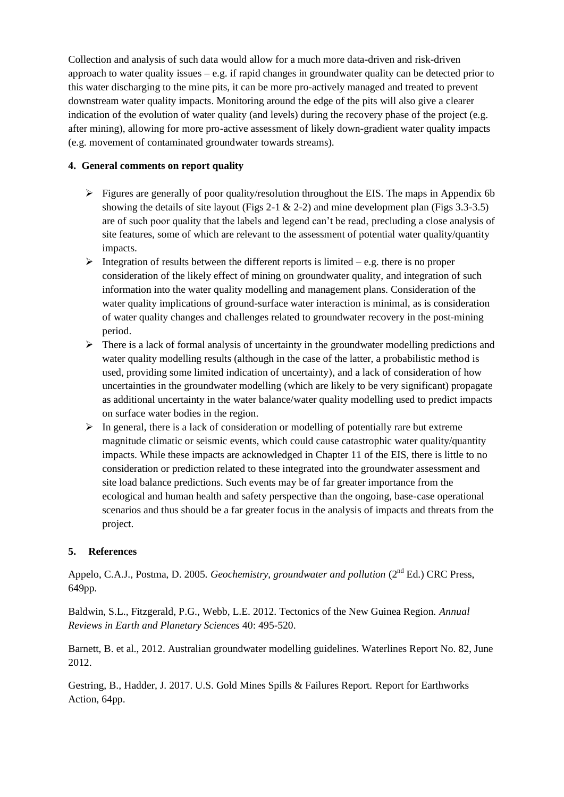Collection and analysis of such data would allow for a much more data-driven and risk-driven approach to water quality issues  $-e.g.$  if rapid changes in groundwater quality can be detected prior to this water discharging to the mine pits, it can be more pro-actively managed and treated to prevent downstream water quality impacts. Monitoring around the edge of the pits will also give a clearer indication of the evolution of water quality (and levels) during the recovery phase of the project (e.g. after mining), allowing for more pro-active assessment of likely down-gradient water quality impacts (e.g. movement of contaminated groundwater towards streams).

# **4. General comments on report quality**

- $\triangleright$  Figures are generally of poor quality/resolution throughout the EIS. The maps in Appendix 6b showing the details of site layout (Figs 2-1  $\&$  2-2) and mine development plan (Figs 3.3-3.5) are of such poor quality that the labels and legend can't be read, precluding a close analysis of site features, some of which are relevant to the assessment of potential water quality/quantity impacts.
- Integration of results between the different reports is limited e.g. there is no proper consideration of the likely effect of mining on groundwater quality, and integration of such information into the water quality modelling and management plans. Consideration of the water quality implications of ground-surface water interaction is minimal, as is consideration of water quality changes and challenges related to groundwater recovery in the post-mining period.
- $\triangleright$  There is a lack of formal analysis of uncertainty in the groundwater modelling predictions and water quality modelling results (although in the case of the latter, a probabilistic method is used, providing some limited indication of uncertainty), and a lack of consideration of how uncertainties in the groundwater modelling (which are likely to be very significant) propagate as additional uncertainty in the water balance/water quality modelling used to predict impacts on surface water bodies in the region.
- $\triangleright$  In general, there is a lack of consideration or modelling of potentially rare but extreme magnitude climatic or seismic events, which could cause catastrophic water quality/quantity impacts. While these impacts are acknowledged in Chapter 11 of the EIS, there is little to no consideration or prediction related to these integrated into the groundwater assessment and site load balance predictions. Such events may be of far greater importance from the ecological and human health and safety perspective than the ongoing, base-case operational scenarios and thus should be a far greater focus in the analysis of impacts and threats from the project.

## **5. References**

Appelo, C.A.J., Postma, D. 2005. *Geochemistry, groundwater and pollution* (2<sup>nd</sup> Ed.) CRC Press. 649pp.

Baldwin, S.L., Fitzgerald, P.G., Webb, L.E. 2012. Tectonics of the New Guinea Region. *Annual Reviews in Earth and Planetary Sciences* 40: 495-520.

Barnett, B. et al., 2012. Australian groundwater modelling guidelines. Waterlines Report No. 82, June 2012.

Gestring, B., Hadder, J. 2017. U.S. Gold Mines Spills & Failures Report. Report for Earthworks Action, 64pp.